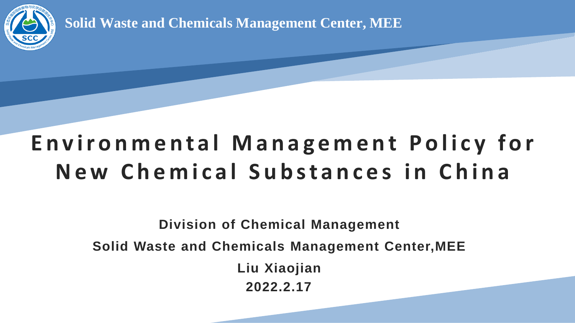

**Solid Waste and Chemicals Management Center, MEE**

### E n v i r o n m e n t a l M a n a g e m e n t P o l i c y f o r New Chemical Substances in China

**Division of Chemical Management Solid Waste and Chemicals Management Center,MEE Liu Xiaojian 2022.2.17**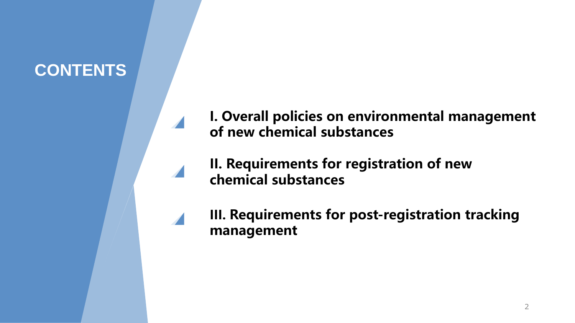### **CONTENTS**



**I. Overall policies on environmental management of new chemical substances**

**II. Requirements for registration of new chemical substances**

**III. Requirements for post-registration tracking management**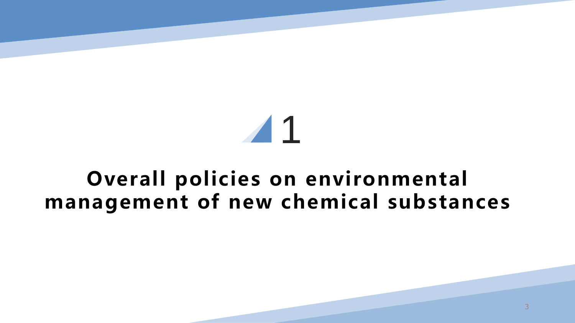# 1

### **Overall policies on environmental management of new chemical substances**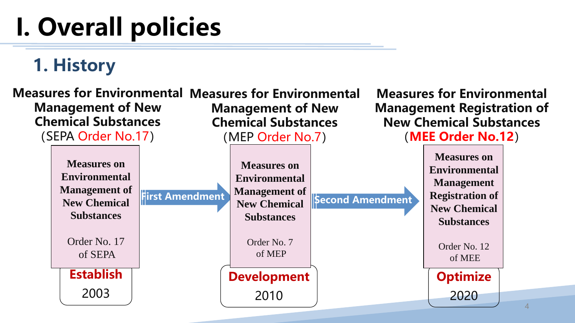### **1. History**

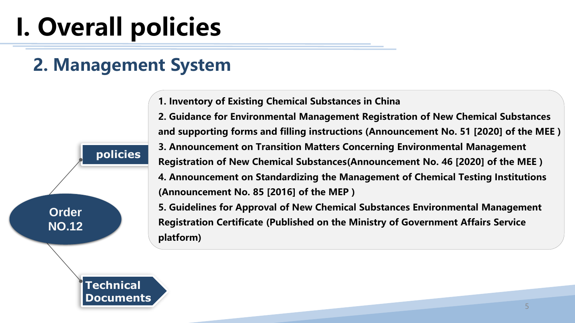### **2. Management System**

**1. Inventory of Existing Chemical Substances in China**

**policies 2. Guidance for Environmental Management Registration of New Chemical Substances and supporting forms and filling instructions (Announcement No. 51 [2020] of the MEE ) 3. Announcement on Transition Matters Concerning Environmental Management Registration of New Chemical Substances(Announcement No. 46 [2020] of the MEE ) 4. Announcement on Standardizing the Management of Chemical Testing Institutions (Announcement No. 85 [2016] of the MEP )**

> **5. Guidelines for Approval of New Chemical Substances Environmental Management Registration Certificate (Published on the Ministry of Government Affairs Service platform)**

**Technical Documents**

**Order** 

**NO.12**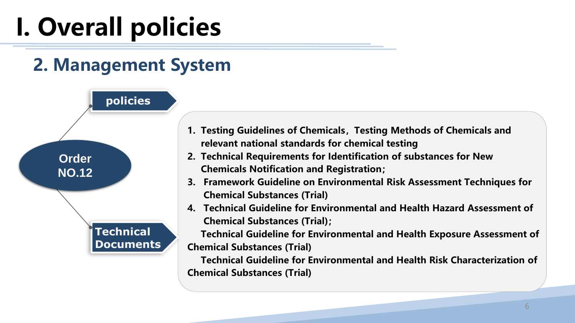### **2. Management System**

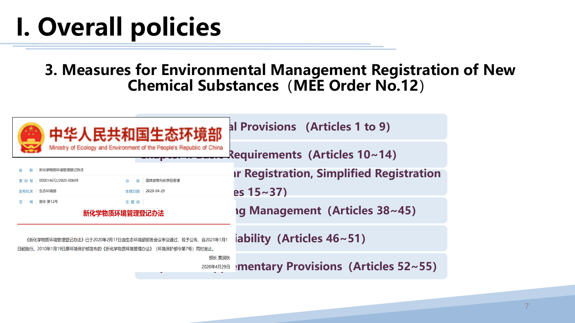#### **3. Measures for Environmental Management Registration of New Chemical Substances**(**MEE Order No.12**)

| 民共和国生态环境部                                                                                                             | al Provisions (Articles 1 to 9)                 |
|-----------------------------------------------------------------------------------------------------------------------|-------------------------------------------------|
| Ministry of Ecology and Environment of the People's Republic of China                                                 | Requirements (Articles 10~14)                   |
| 新化学物质环境管理登记办法                                                                                                         | <b>Ir Registration, Simplified Registration</b> |
| 固体废物与化学品管理<br>000014672/2020-00609<br>分<br>举<br>索 引                                                                   |                                                 |
| 2020-04-29<br>生态环境部<br>生成日期<br>发布机关                                                                                   | es $15 - 37$ )                                  |
| 部令 第12号<br>主题词                                                                                                        |                                                 |
| 新化学物质环境管理登记办法                                                                                                         | <b>Ig Management (Articles 38~45)</b>           |
| 《新化学物质环境管理登记办法》已于2020年2月17日由生态环境部部务会议审议通过,现予公布,自2021年1月1<br>日起施行。2010年1月19日原环境保护部发布的《新化学物质环境管理办法》<br>(环境保护部令第7号)同时废止。 | iability (Articles $46 \sim 51$ )               |
| 部长 黄润秋<br>2020年4月29日                                                                                                  | <b>Imentary Provisions (Articles 52~55)</b>     |
|                                                                                                                       |                                                 |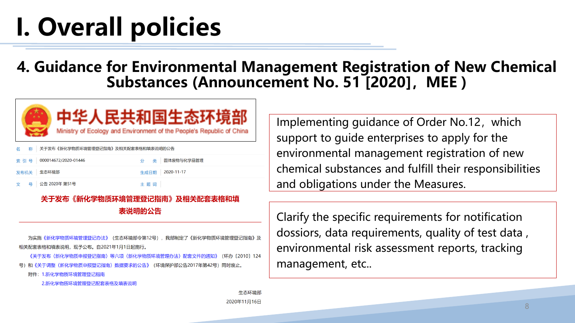#### **4. Guidance for Environmental Management Registration of New Chemical Substances (Announcement No. 51 [2020],MEE )**



| 名 称 关于发布《新化学物质环境管理登记指南》及相关配套表格和填表说明的公告 |     |                 |
|----------------------------------------|-----|-----------------|
| 索引号   000014672/2020-01446             |     | 分 类 固体废物与化学品管理  |
| 发布机关   生态环境部                           |     | 生成日期 2020-11-17 |
| 文 号 公告 2020年 第51号                      | 主题词 |                 |

#### 关于发布《新化学物质环境管理登记指南》及相关配套表格和填 表说明的公告

《新化学物质环境管理登记办法》 (生态环境部令第12号) ,我部制定了《新化学物质环境管理登记指南》及 相关配套表格和填表说明,现予公布。自2021年1月1日起施行,

《关于发布〈新化学物质申报登记指南〉等六项〈新化学物质环境管理办法〉配套文件的通知》 (环办「2010〕124 号)和《关于调整〈新化学物质申报登记指南〉数据要求的公告》(环境保护部公告2017年第42号)同时废止。

附件: 1.新化学物质环境管理登记指南

2.新化学物质环境管理登记配套表格及填表说明

Implementing guidance of Order No.12, which support to guide enterprises to apply for the environmental management registration of new chemical substances and fulfill their responsibilities and obligations under the Measures.

Clarify the specific requirements for notification dossiors, data requirements, quality of test data , environmental risk assessment reports, tracking management, etc..

生态环境部 2020年11月16日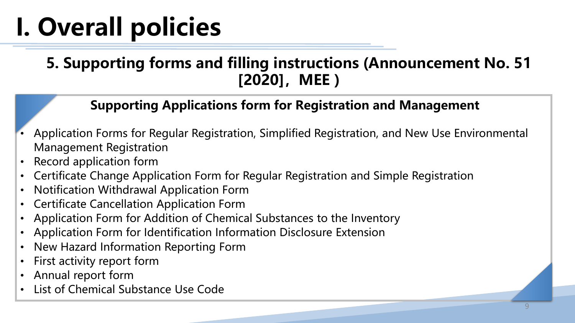### **5. Supporting forms and filling instructions (Announcement No. 51 [2020],MEE )**

#### **Supporting Applications form for Registration and Management**

- Application Forms for Regular Registration, Simplified Registration, and New Use Environmental Management Registration
- Record application form
- Certificate Change Application Form for Regular Registration and Simple Registration
- Notification Withdrawal Application Form
- Certificate Cancellation Application Form
- Application Form for Addition of Chemical Substances to the Inventory
- Application Form for Identification Information Disclosure Extension
- New Hazard Information Reporting Form
- First activity report form
- Annual report form
- List of Chemical Substance Use Code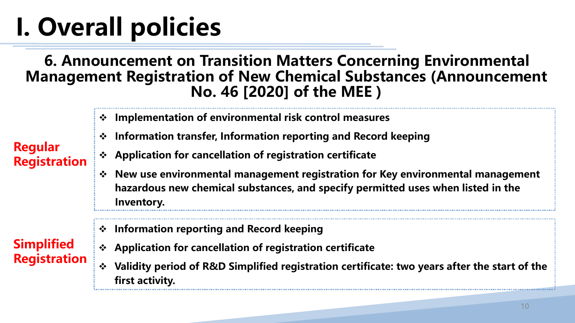#### **6. Announcement on Transition Matters Concerning Environmental Management Registration of New Chemical Substances (Announcement No. 46 [2020] of the MEE )**

- ❖ **Implementation of environmental risk control measures**
- ❖ **Information transfer, Information reporting and Record keeping**

#### **Regular Registration**

- ❖ **Application for cancellation of registration certificate**
- ❖ **New use environmental management registration for Key environmental management hazardous new chemical substances, and specify permitted uses when listed in the Inventory.**

#### **Simplified Registration**

- ❖ **Information reporting and Record keeping**
- ❖ **Application for cancellation of registration certificate**
- ❖ **Validity period of R&D Simplified registration certificate: two years after the start of the first activity.**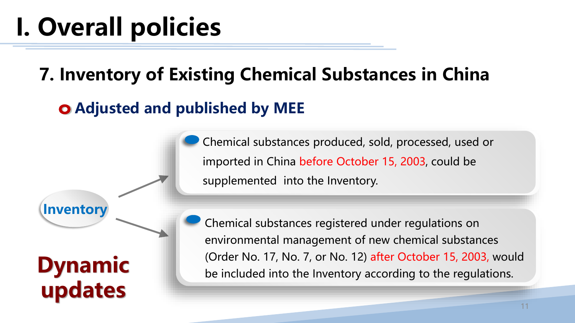### **7. Inventory of Existing Chemical Substances in China**

### **Adjusted and published by MEE**

**Inventory updates** Chemical substances produced, sold, processed, used or imported in China before October 15, 2003, could be supplemented into the Inventory.

Chemical substances registered under regulations on environmental management of new chemical substances **Dynamic** (Order No. 17, No. 7, or No. 12) after October 15, 2003, would be included into the Inventory according to the regulations.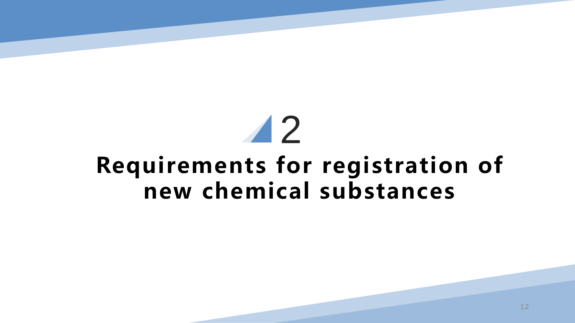### 2 **Requirements for registration of new chemical substances**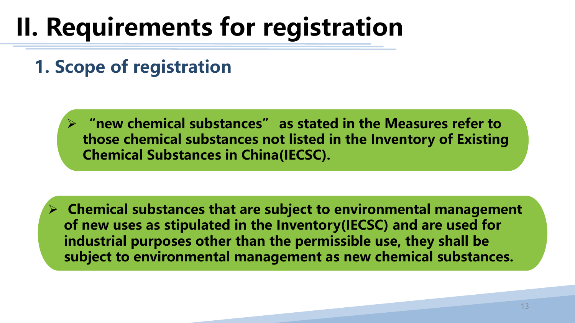**1. Scope of registration**

➢ **"new chemical substances" as stated in the Measures refer to those chemical substances not listed in the Inventory of Existing Chemical Substances in China(IECSC).**

➢ **Chemical substances that are subject to environmental management of new uses as stipulated in the Inventory(IECSC) and are used for industrial purposes other than the permissible use, they shall be subject to environmental management as new chemical substances.**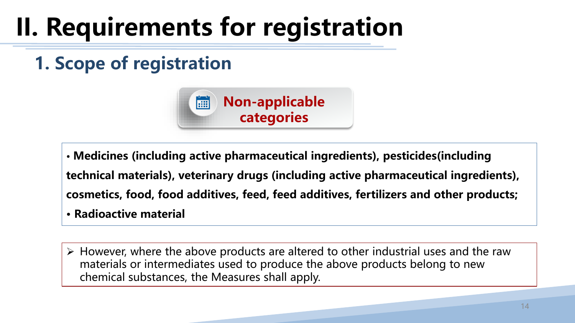### **1. Scope of registration**



• **Medicines (including active pharmaceutical ingredients), pesticides(including technical materials), veterinary drugs (including active pharmaceutical ingredients), cosmetics, food, food additives, feed, feed additives, fertilizers and other products;** • **Radioactive material**

➢ However, where the above products are altered to other industrial uses and the raw materials or intermediates used to produce the above products belong to new chemical substances, the Measures shall apply.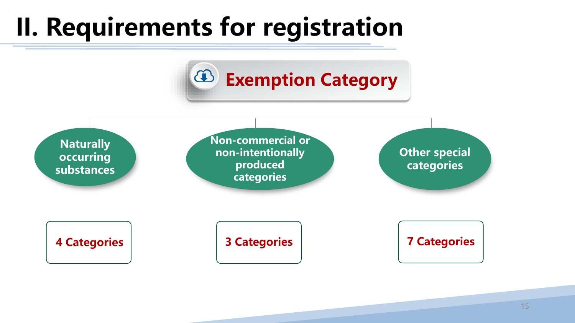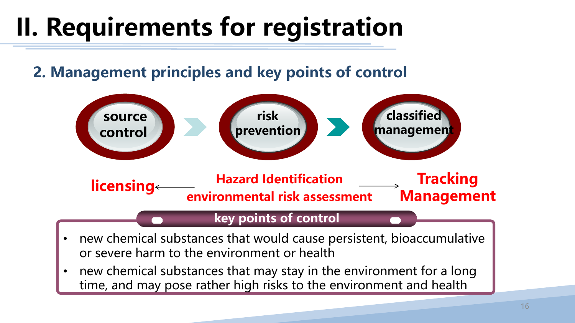**2. Management principles and key points of control**



#### **key points of control**

- new chemical substances that would cause persistent, bioaccumulative or severe harm to the environment or health
- new chemical substances that may stay in the environment for a long time, and may pose rather high risks to the environment and health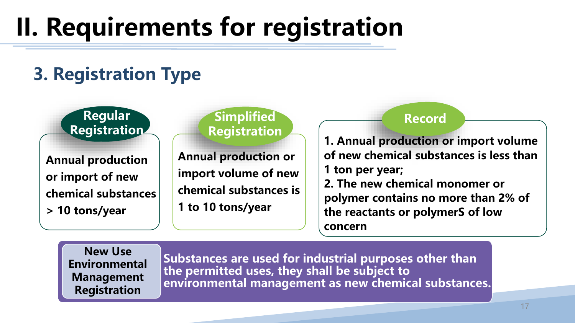### **3. Registration Type**

#### **Regular Registration**

**Annual production or import of new chemical substances > 10 tons/year**

#### **Simplified Registration**

**Annual production or import volume of new chemical substances is 1 to 10 tons/year**

#### **Record**

**1. Annual production or import volume of new chemical substances is less than 1 ton per year; 2. The new chemical monomer or polymer contains no more than 2% of the reactants or polymerS of low concern**

**New Use Environmental Management Registration**

**Substances are used for industrial purposes other than the permitted uses, they shall be subject to environmental management as new chemical substances.**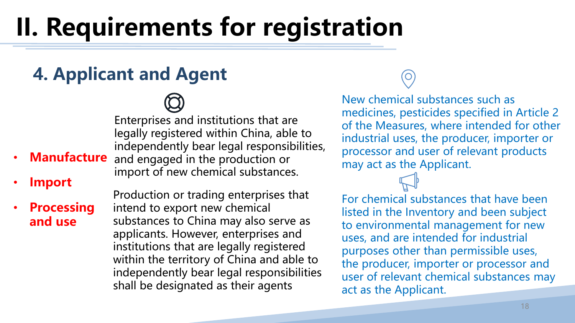### **4. Applicant and Agent**

Enterprises and institutions that are legally registered within China, able to independently bear legal responsibilities, and engaged in the production or import of new chemical substances.

• **Import**

• **Processing and use**

• **Manufacture**

Production or trading enterprises that intend to export new chemical substances to China may also serve as applicants. However, enterprises and institutions that are legally registered within the territory of China and able to independently bear legal responsibilities shall be designated as their agents

New chemical substances such as medicines, pesticides specified in Article 2 of the Measures, where intended for other industrial uses, the producer, importer or processor and user of relevant products may act as the Applicant.

For chemical substances that have been listed in the Inventory and been subject to environmental management for new uses, and are intended for industrial purposes other than permissible uses, the producer, importer or processor and user of relevant chemical substances may act as the Applicant.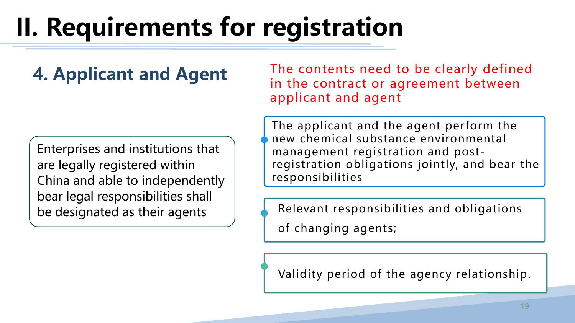### **4. Applicant and Agent**

Enterprises and institutions that are legally registered within China and able to independently bear legal responsibilities shall be designated as their agents

The contents need to be clearly defined in the contract or agreement between applicant and agent

The applicant and the agent perform the new chemical substance environmental management registration and postregistration obligations jointly, and bear the responsibilities

Relevant responsibilities and obligations

of changing agents;

Validity period of the agency relationship.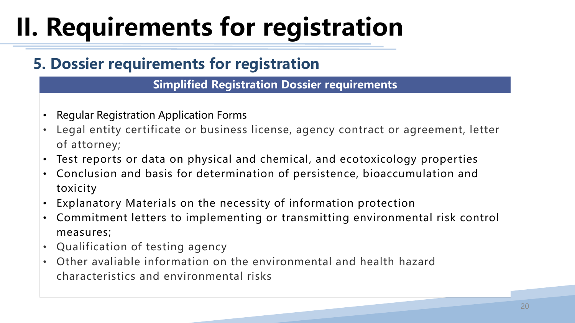### **5. Dossier requirements for registration**

**Simplified Registration Dossier requirements**

- Regular Registration Application Forms
- Legal entity certificate or business license, agency contract or agreement, letter of attorney;
- Test reports or data on physical and chemical, and ecotoxicology properties
- Conclusion and basis for determination of persistence, bioaccumulation and toxicity
- Explanatory Materials on the necessity of information protection
- Commitment letters to implementing or transmitting environmental risk control measures;
- Qualification of testing agency
- Other avaliable information on the environmental and health hazard characteristics and environmental risks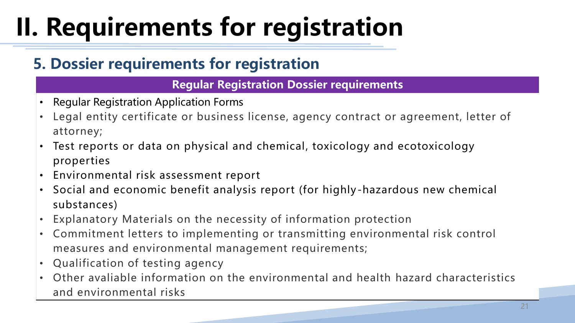### **5. Dossier requirements for registration**

**Regular Registration Dossier requirements**

- Regular Registration Application Forms
- Legal entity certificate or business license, agency contract or agreement, letter of attorney;
- Test reports or data on physical and chemical, toxicology and ecotoxicology properties
- Environmental risk assessment report
- Social and economic benefit analysis report (for highly-hazardous new chemical substances)
- Explanatory Materials on the necessity of information protection
- Commitment letters to implementing or transmitting environmental risk control measures and environmental management requirements;
- Qualification of testing agency
- Other avaliable information on the environmental and health hazard characteristics and environmental risks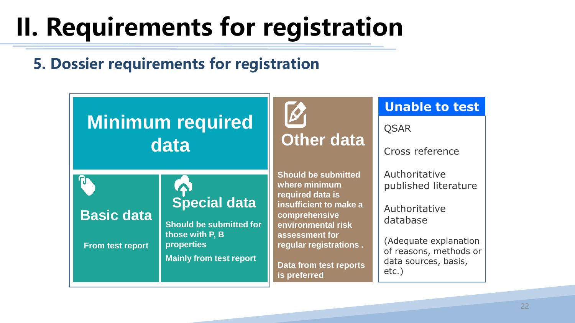### **5. Dossier requirements for registration**

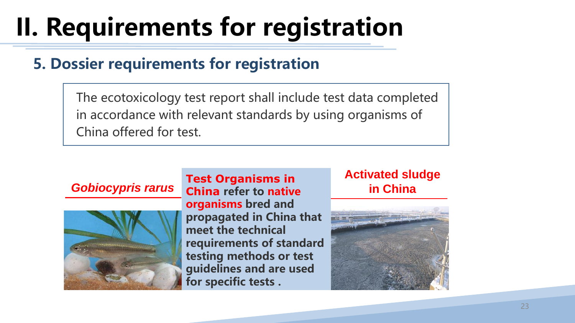#### **5. Dossier requirements for registration**

The ecotoxicology test report shall include test data completed in accordance with relevant standards by using organisms of China offered for test.



**Test Organisms in China refer to native organisms bred and propagated in China that meet the technical requirements of standard testing methods or test guidelines and are used for specific tests .** *Gobiocypris rarus* **in China**

### **Activated sludge**

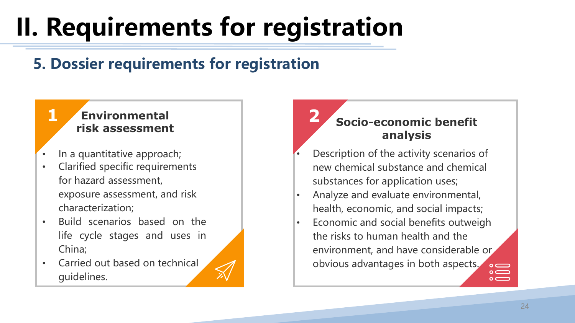### **5. Dossier requirements for registration**

### **Environmental 1 2**

- In a quantitative approach;
- characterization;<br>Published in the set of the set of the set of the set of the set of the set of the set of the set of the set o • Clarified specific requirements for hazard assessment, exposure assessment, and risk
- Build scenarios based on the life cycle stages and uses in China;
- Carried out based on technical guidelines.

#### **1. discussion risk assessment Socio-economic benefit Socio-economic benefit analysis**

- **2. 2.** new chemical substance and chemical • Description of the activity scenarios of substances for application uses;
- **•** Analyze and evaluate environmental, health, economic, and social impacts;
	- Economic and social benefits outweigh the risks to human health and the environment, and have considerable or obvious advantages in both aspects.  $\sum_{\alpha=0}^{\infty}$

 $\circ$   $\equiv$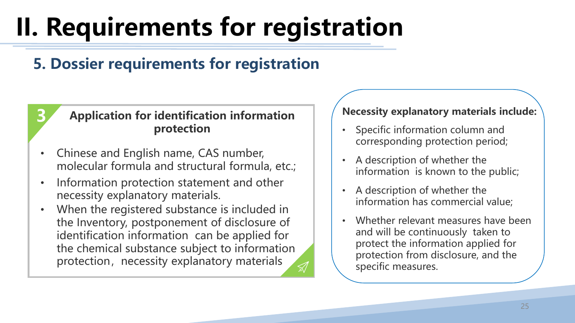### **5. Dossier requirements for registration**

#### **3 Application for identification information protection**

- Chinese and English name, CAS number, molecular formula and structural formula, etc.;
- Information protection statement and other necessity explanatory materials.
- When the registered substance is included in the Inventory, postponement of disclosure of identification information can be applied for the chemical substance subject to information protection, necessity explanatory materials

#### **Necessity explanatory materials include:**

- Specific information column and corresponding protection period;
- A description of whether the information is known to the public;
- A description of whether the information has commercial value;
- Whether relevant measures have been and will be continuously taken to protect the information applied for protection from disclosure, and the specific measures.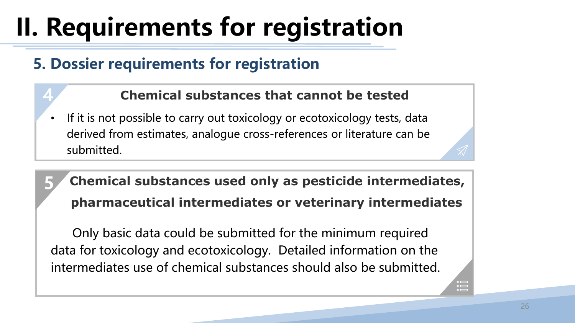### **5. Dossier requirements for registration**

**4**

**5**

#### **Chemical substances that cannot be tested**

If it is not possible to carry out toxicology or ecotoxicology tests, data derived from estimates, analogue cross-references or literature can be submitted.

### **Chemical substances used only as pesticide intermediates, pharmaceutical intermediates or veterinary intermediates**

Only basic data could be submitted for the minimum required data for toxicology and ecotoxicology. Detailed information on the intermediates use of chemical substances should also be submitted.

 $\sum_{\substack{0\\0}}^{\infty}$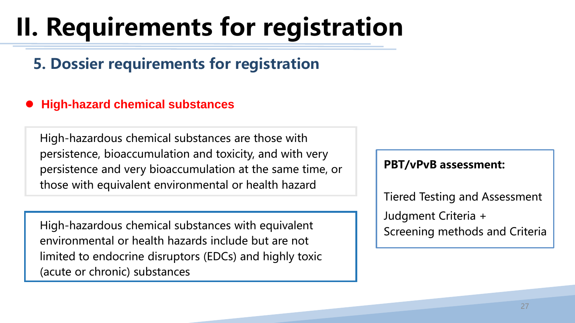### **5. Dossier requirements for registration**

#### ⚫ **High-hazard chemical substances**

High-hazardous chemical substances are those with persistence, bioaccumulation and toxicity, and with very persistence and very bioaccumulation at the same time, or those with equivalent environmental or health hazard

High-hazardous chemical substances with equivalent environmental or health hazards include but are not limited to endocrine disruptors (EDCs) and highly toxic (acute or chronic) substances

#### **PBT/vPvB assessment:**

Tiered Testing and Assessment Judgment Criteria + Screening methods and Criteria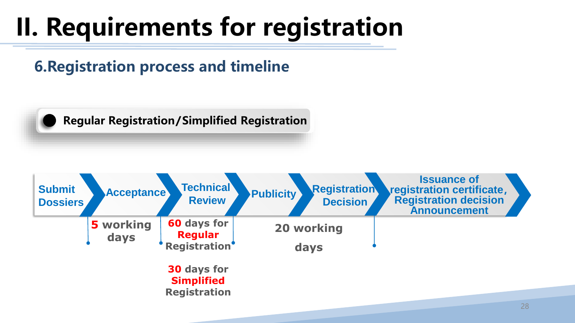**6.Registration process and timeline**



**Regular Registration/Simplified Registration**

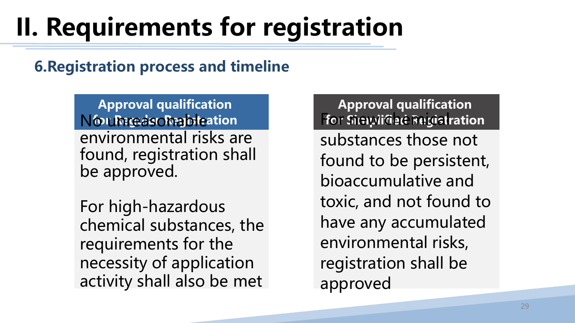### **6.Registration process and timeline**

**Approval qualification** No unreasonable **for Regular Registration**  environmental risks are found, registration shall be approved.

For high-hazardous chemical substances, the requirements for the necessity of application activity shall also be met

### **Approval qualification For Simplified Registration**

substances those not found to be persistent, bioaccumulative and toxic, and not found to have any accumulated environmental risks, registration shall be approved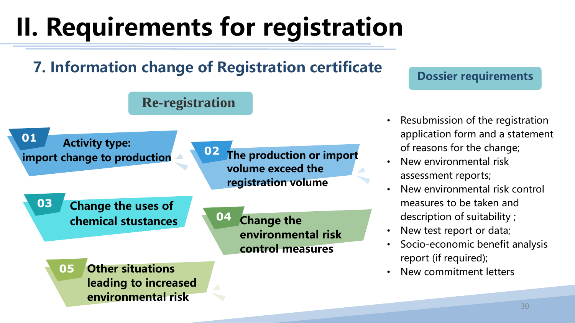### **7. Information change of Registration certificate**



#### **Dossier requirements**

- Resubmission of the registration application form and a statement of reasons for the change;
- New environmental risk assessment reports;
- New environmental risk control measures to be taken and description of suitability ;
- New test report or data;
- Socio-economic benefit analysis report (if required);
- New commitment letters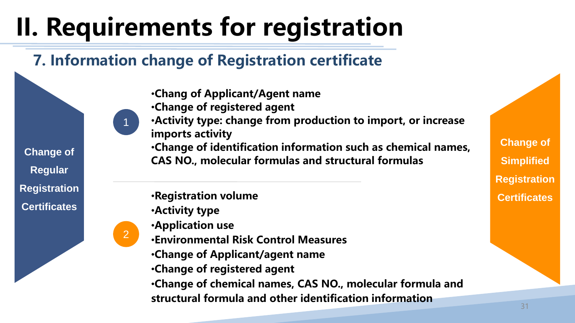### **7. Information change of Registration certificate**

- •**Chang of Applicant/Agent name**
- •**Change of registered agent**
- •**Activity type: change from production to import, or increase imports activity**
- •**Change of identification information such as chemical names, CAS NO., molecular formulas and structural formulas**

•**Registration volume**

•**Activity type** 

**Change of** 

**Regular** 

**Registration** 

**Certificates**

•**Application use**

2

1

- •**Environmental Risk Control Measures**
- •**Change of Applicant/agent name**
- •**Change of registered agent**
- •**Change of chemical names, CAS NO., molecular formula and structural formula and other identification information**

**Change of Simplified Registration Certificates**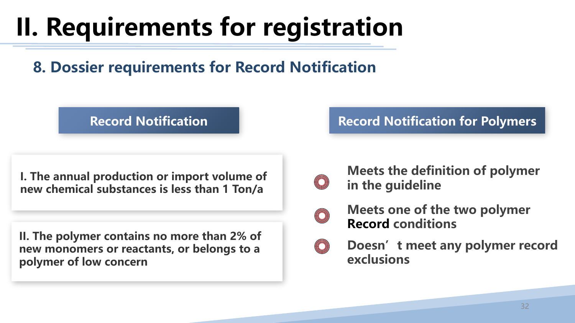**8. Dossier requirements for Record Notification**

#### **Record Notification**

**I. The annual production or import volume of new chemical substances is less than 1 Ton/a**

**II. The polymer contains no more than 2% of new monomers or reactants, or belongs to a polymer of low concern**

#### **Record Notification for Polymers**



**Meets the definition of polymer in the guideline** 



- **Meets one of the two polymer Record conditions**
- **Doesn't meet any polymer record exclusions**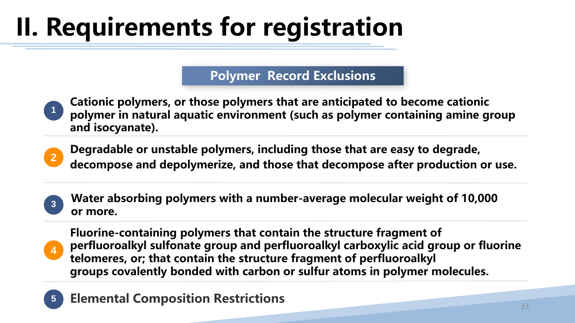#### **Polymer Record Exclusions**

- **1 Cationic polymers, or those polymers that are anticipated to become cationic polymer in natural aquatic environment (such as polymer containing amine group and isocyanate).**
- **2 Degradable or unstable polymers, including those that are easy to degrade, decompose and depolymerize, and those that decompose after production or use.**
- **<sup>3</sup> Water absorbing polymers with a number-average molecular weight of 10,000 or more.**
- **4 Fluorine-containing polymers that contain the structure fragment of perfluoroalkyl sulfonate group and perfluoroalkyl carboxylic acid group or fluorine telomeres, or; that contain the structure fragment of perfluoroalkyl groups covalently bonded with carbon or sulfur atoms in polymer molecules.**
- **5 Elemental Composition Restrictions**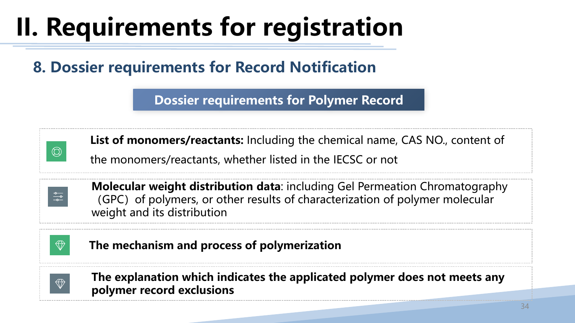### **8. Dossier requirements for Record Notification**

**Dossier requirements for Polymer Record**



**List of monomers/reactants:** Including the chemical name, CAS NO., content of

the monomers/reactants, whether listed in the IECSC or not



**Molecular weight distribution data**: including Gel Permeation Chromatography (GPC) of polymers, or other results of characterization of polymer molecular weight and its distribution



**The mechanism and process of polymerization**



**The explanation which indicates the applicated polymer does not meets any polymer record exclusions**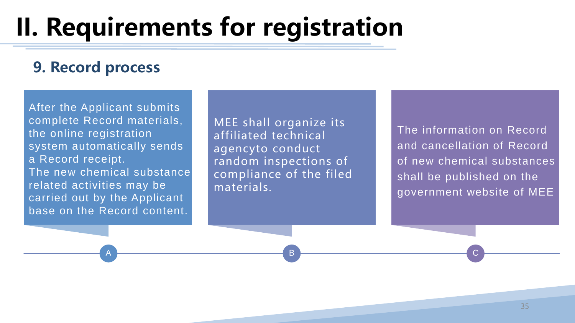#### **9. Record process**

After the Applicant submits complete Record materials, the online registration system automatically sends a Record receipt. The new chemical substance related activities may be carried out by the Applicant base on the Record content.

A

MEE shall organize its affiliated technical agencyto conduct random inspections of compliance of the filed materials.

The information on Record and cancellation of Record of new chemical substances shall be published on the government website of MEE

B <del>Decree to the control of the control of</del> C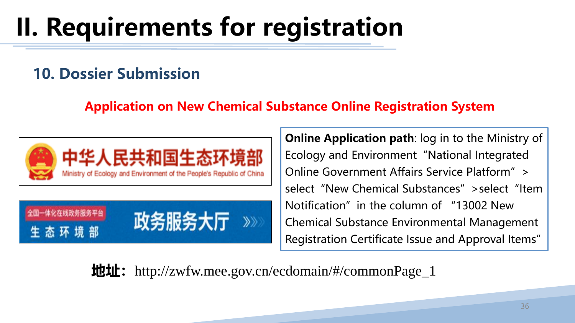#### **10. Dossier Submission**

#### **Application on New Chemical Substance Online Registration System**



体化在线政务服务平台 政务服务大厅  $\gg$ 态环境 生

**Online Application path**: log in to the Ministry of Ecology and Environment"National Integrated Online Government Affairs Service Platform" > select "New Chemical Substances" >select "Item Notification" in the column of "13002 New Chemical Substance Environmental Management Registration Certificate Issue and Approval Items"

**地址:**http://zwfw.mee.gov.cn/ecdomain/#/commonPage\_1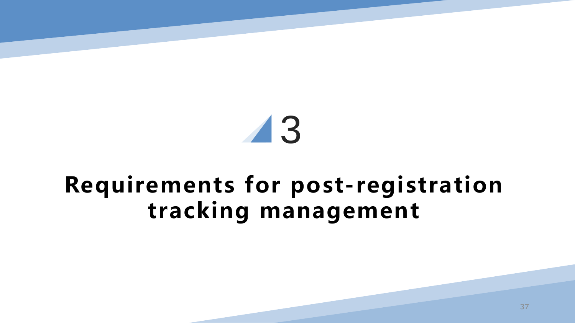# 3

### **Requirements for post-registration tracking management**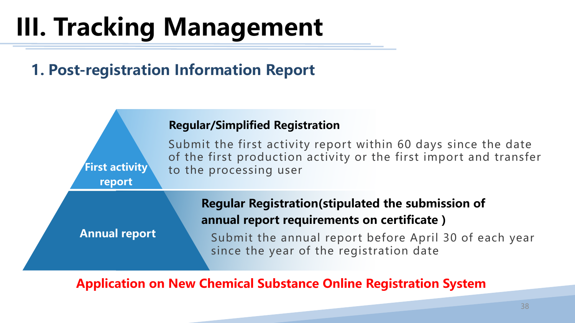### **1. Post-registration Information Report**



**Application on New Chemical Substance Online Registration System**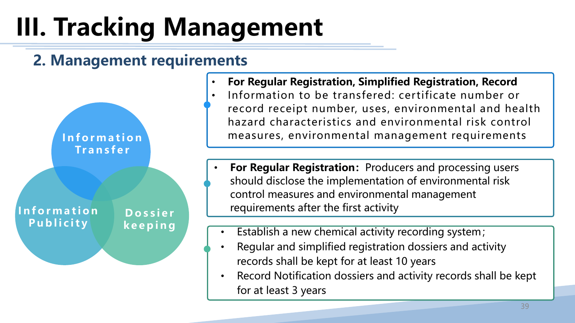#### **2. Management requirements**



- **For Regular Registration, Simplified Registration, Record**
- Information to be transfered: certificate number or record receipt number, uses, environmental and health hazard characteristics and environmental risk control measures, environmental management requirements
- **For Regular Registration: Producers and processing users** should disclose the implementation of environmental risk control measures and environmental management requirements after the first activity
- Establish a new chemical activity recording system;
- Regular and simplified registration dossiers and activity records shall be kept for at least 10 years
- Record Notification dossiers and activity records shall be kept for at least 3 years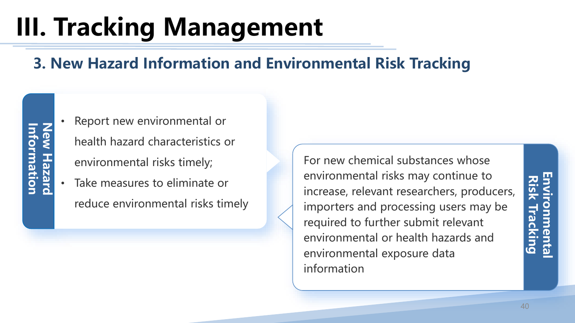### **3. New Hazard Information and Environmental Risk Tracking**

- Report new environmental or health hazard characteristics or environmental risks timely;
- Take measures to eliminate or reduce environmental risks timely

For new chemical substances whose environmental risks may continue to increase, relevant researchers, producers, importers and processing users may be required to further submit relevant environmental or health hazards and environmental exposure data information

**Risk Tracking**

**Environmental**<br>Risk Tracking

**Environmental**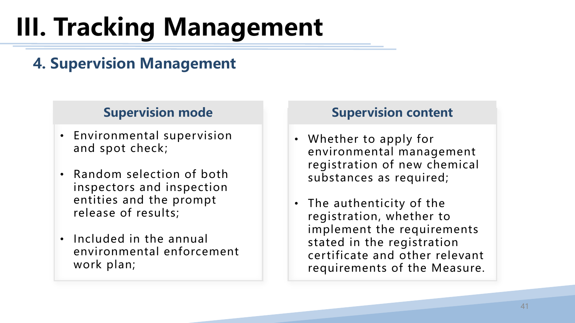### **4. Supervision Management**

#### **Supervision mode**

- Environmental supervision and spot check;
- Random selection of both inspectors and inspection entities and the prompt release of results;
- Included in the annual environmental enforcement work plan;

#### **Supervision content**

- Whether to apply for environmental management registration of new chemical substances as required;
- The authenticity of the registration, whether to implement the requirements stated in the registration certificate and other relevant requirements of the Measure.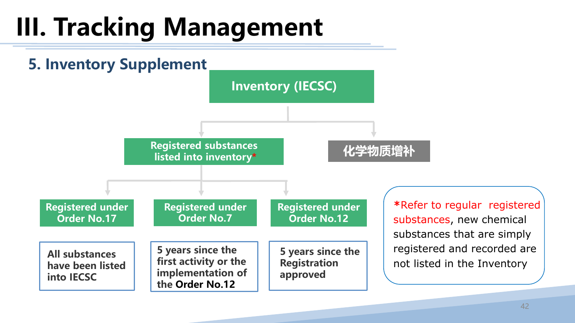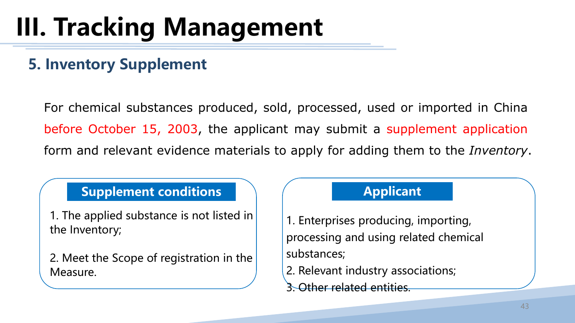### **5. Inventory Supplement**

For chemical substances produced, sold, processed, used or imported in China before October 15, 2003, the applicant may submit a supplement application form and relevant evidence materials to apply for adding them to the *Inventory*.

#### **Supplement conditions**

1. The applied substance is not listed in the Inventory;

2. Meet the Scope of registration in the Measure.

#### **Applicant**

1. Enterprises producing, importing, processing and using related chemical substances;

2. Relevant industry associations;

3. Other related entities.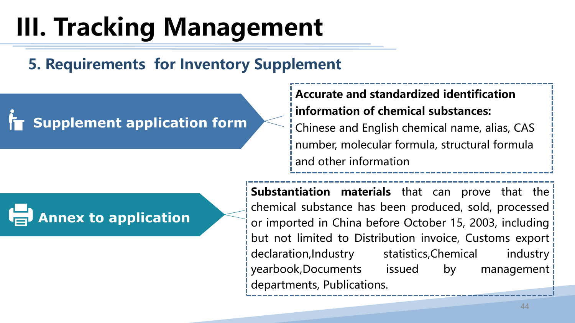### **5. Requirements for Inventory Supplement**

### **Supplement application form**



#### **Accurate and standardized identification information of chemical substances:**

Chinese and English chemical name, alias, CAS number, molecular formula, structural formula and other information

**Substantiation materials** that can prove that the chemical substance has been produced, sold, processed or imported in China before October 15, 2003, including but not limited to Distribution invoice, Customs export declaration,Industry statistics,Chemical industry yearbook,Documents issued by management departments, Publications.